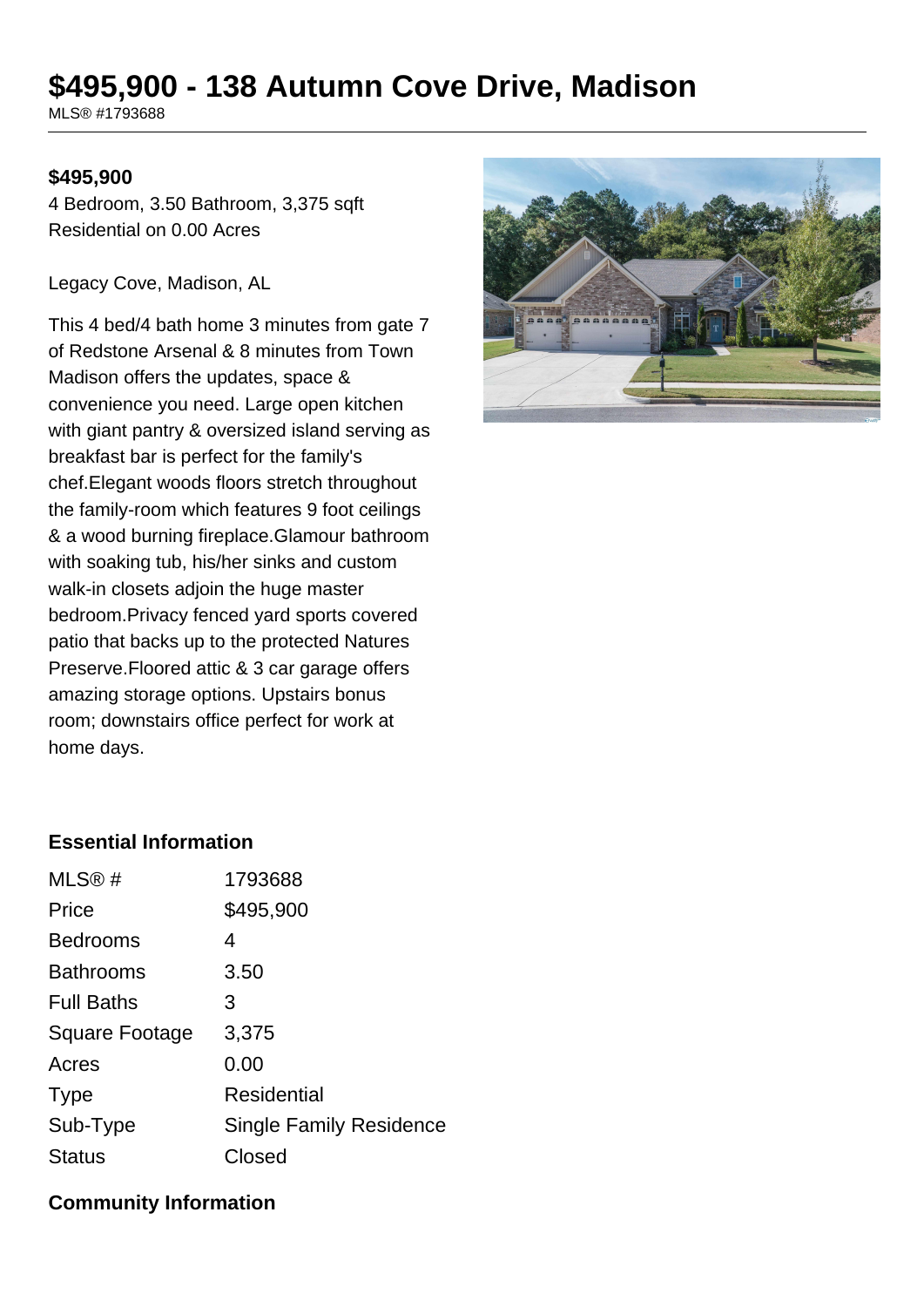# **\$495,900 - 138 Autumn Cove Drive, Madison**

MLS® #1793688

#### **\$495,900**

4 Bedroom, 3.50 Bathroom, 3,375 sqft Residential on 0.00 Acres

Legacy Cove, Madison, AL

This 4 bed/4 bath home 3 minutes from gate 7 of Redstone Arsenal & 8 minutes from Town Madison offers the updates, space & convenience you need. Large open kitchen with giant pantry & oversized island serving as breakfast bar is perfect for the family's chef.Elegant woods floors stretch throughout the family-room which features 9 foot ceilings & a wood burning fireplace.Glamour bathroom with soaking tub, his/her sinks and custom walk-in closets adjoin the huge master bedroom.Privacy fenced yard sports covered patio that backs up to the protected Natures Preserve.Floored attic & 3 car garage offers amazing storage options. Upstairs bonus room; downstairs office perfect for work at home days.



### **Essential Information**

| MLS®#             | 1793688                        |
|-------------------|--------------------------------|
| Price             | \$495,900                      |
| <b>Bedrooms</b>   | 4                              |
| <b>Bathrooms</b>  | 3.50                           |
| <b>Full Baths</b> | З                              |
| Square Footage    | 3,375                          |
| Acres             | 0.00                           |
| <b>Type</b>       | <b>Residential</b>             |
| Sub-Type          | <b>Single Family Residence</b> |
| <b>Status</b>     | Closed                         |

#### **Community Information**